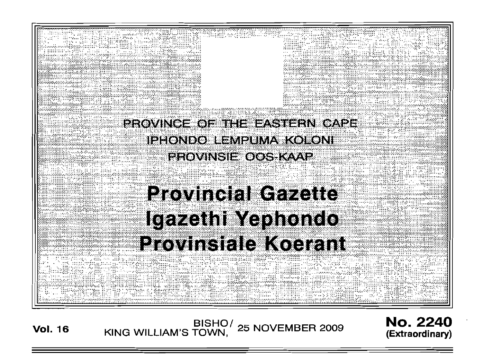

Vol. <sup>16</sup> BISHO/ KING WILLIAM'S TOWN, <sup>25</sup> NOVEMBER <sup>2009</sup>

No. 2240 (Extraord inary)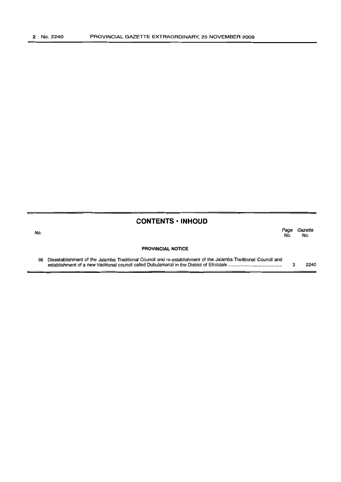## **CONTENTS ·INHOUD**

| No. |                                                                                                                 | raue<br>No. | Gazene<br>No. |
|-----|-----------------------------------------------------------------------------------------------------------------|-------------|---------------|
|     | <b>PROVINCIAL NOTICE</b>                                                                                        |             |               |
| 68  | Disestablishment of the Jalamba Traditional Council and re-establishment of the Jalamba Traditional Council and |             | 2240          |

Page Gazette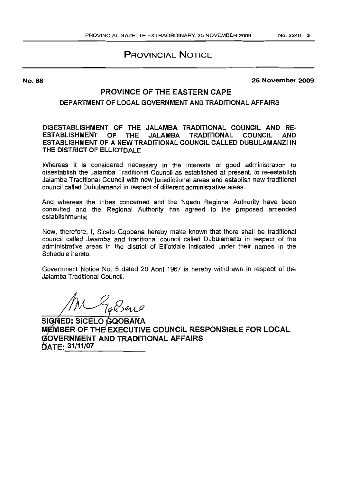# **PROVINCIAL NOTICE**

#### **25 November 2009**

## **PROVINCE OF THE EASTERN CAPE**

#### **DEPARTMENT OF LOCAL GOVERNMENT AND TRADITIONAL AFFAIRS**

**DISESTABLISHMENT OF THE JALAMBA TRADITIONAL COUNCIL AND RE-ESrABUSHMENT OF THE JALAMBA TRADITIONAL COUNCIL AND ESTABLISHMENT OF A NEW TRADITIONAL COUNCIL CALLED DUBULAMANZIIN THE DISTRICT OF ELUOTDALE**

Whereas it is considered necessary in the interests of good administration to disestablish the Jalamba Traditional Council as established at present, to re-establish Jalamba Traditional Council with new jurisdictional areas and establish new traditional council called Dubulamanzi in respect of different administrative areas.

And whereas the tribes concerned and the Nqadu Regional Authority have been consulted and the Regional Authority has agreed to the proposed amended establishments;

Now, therefore, I, Sicelo Gqobana hereby make known that there shall be traditional council called Jalamba and traditional council called Dubulamanzi in respect of the administrative areas in the district of Elliotdale indicated under their names in the Schedule hereto.

Government Notice No. 5 dated 28 April 1967 is hereby withdrawn in respect of the Jalamba Traditional Council.

TaBang

**SI ED: SICELO QOBANA M MBER OF THE EXECUTIVE COUNCIL RESPONSIBLE FOR LOCAL OVERNMENT AND TRADITIONAL AFFAIRS ATE: 31/11/07**